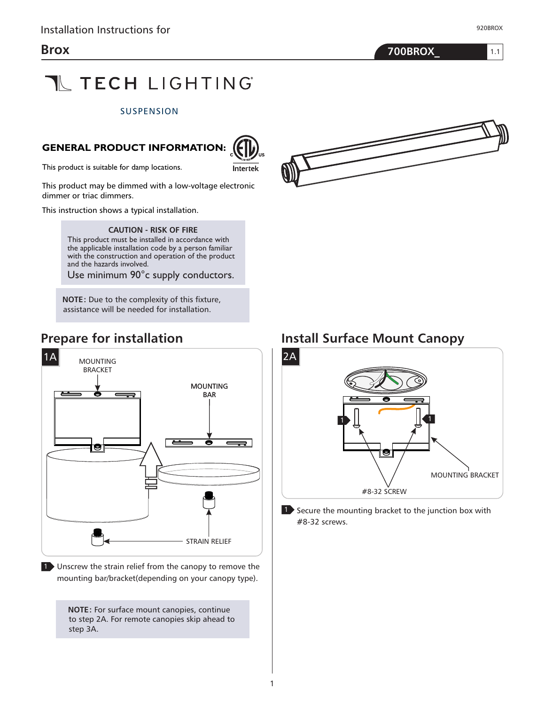1.1



# **TL TECH LIGHTING**

#### **SUSPENSION**

#### **GENERAL PRODUCT INFORMATION:**



This product is suitable for damp locations.

This product may be dimmed with a low-voltage electronic dimmer or triac dimmers.

This instruction shows a typical installation.

**CAUTION - RISK OF FIRE** 

This product must be installed in accordance with the applicable installation code by a person familiar with the construction and operation of the product and the hazards involved.

Use minimum 90°c supply conductors.

**NOTE:** Due to the complexity of this fixture, assistance will be needed for installation.

#### **Prepare for installation**



1 Unscrew the strain relief from the canopy to remove the mounting bar/bracket(depending on your canopy type).

> **NOTE:** For surface mount canopies, continue to step 2A. For remote canopies skip ahead to step 3A.



#### **Install Surface Mount Canopy**



**1** Secure the mounting bracket to the junction box with #8-32 screws.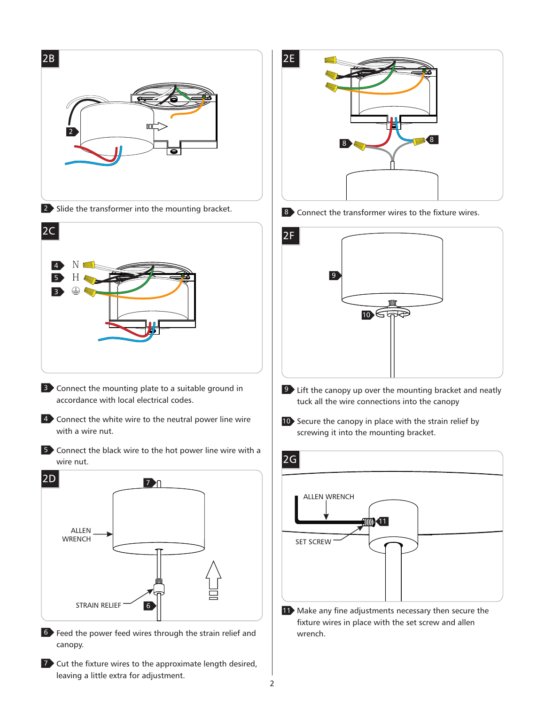

7 Cut the fixture wires to the approximate length desired, leaving a little extra for adjustment.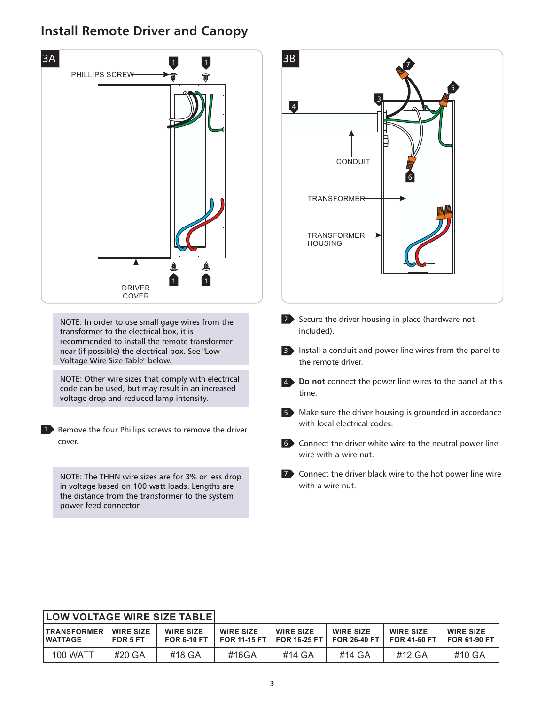### **Install Remote Driver and Canopy**



| <b>LOW VOLTAGE WIRE SIZE TABLE!</b>  |                              |                                        |                                           |                                         |                                         |                                           |                                         |
|--------------------------------------|------------------------------|----------------------------------------|-------------------------------------------|-----------------------------------------|-----------------------------------------|-------------------------------------------|-----------------------------------------|
| <b>TRANSFORMER</b><br><b>WATTAGE</b> | <b>WIRE SIZE</b><br>FOR 5 FT | <b>WIRE SIZE</b><br><b>FOR 6-10 FT</b> | <b>WIRE SIZE</b><br><b>FOR 11-15 FT  </b> | <b>WIRE SIZE</b><br><b>FOR 16-25 FT</b> | <b>WIRE SIZE</b><br><b>FOR 26-40 FT</b> | <b>WIRE SIZE</b><br><b>FOR 41-60 FT I</b> | <b>WIRE SIZE</b><br><b>FOR 61-90 FT</b> |
| <b>100 WATT</b>                      | #20 GA                       | #18 GA                                 | #16GA                                     | #14 GA                                  | #14 GA                                  | #12 GA                                    | #10 GA                                  |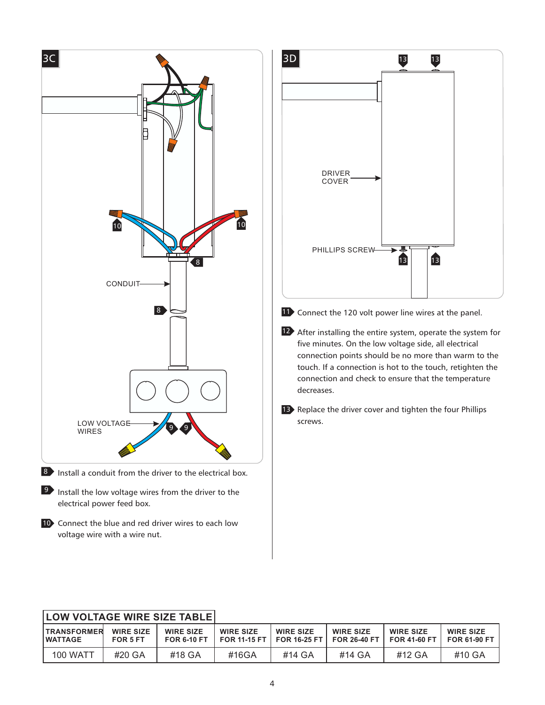

| <b>LOW VOLTAGE WIRE SIZE TABLE!</b>   |                              |                                        |                  |                                                 |                                           |                                    |                                         |
|---------------------------------------|------------------------------|----------------------------------------|------------------|-------------------------------------------------|-------------------------------------------|------------------------------------|-----------------------------------------|
| <b>ITRANSFORMER</b><br><b>WATTAGE</b> | <b>WIRE SIZE</b><br>FOR 5 FT | <b>WIRE SIZE</b><br><b>FOR 6-10 FT</b> | <b>WIRE SIZE</b> | <b>WIRE SIZE</b><br>FOR 11-15 FT   FOR 16-25 FT | <b>WIRE SIZE</b><br><b>FOR 26-40 FT  </b> | <b>WIRE SIZE</b><br>$FOR 41-60 FT$ | <b>WIRE SIZE</b><br><b>FOR 61-90 FT</b> |
| <b>100 WATT</b>                       | #20 GA                       | #18 GA                                 | #16GA            | #14 GA                                          | #14 GA                                    | #12 GA                             | #10 GA                                  |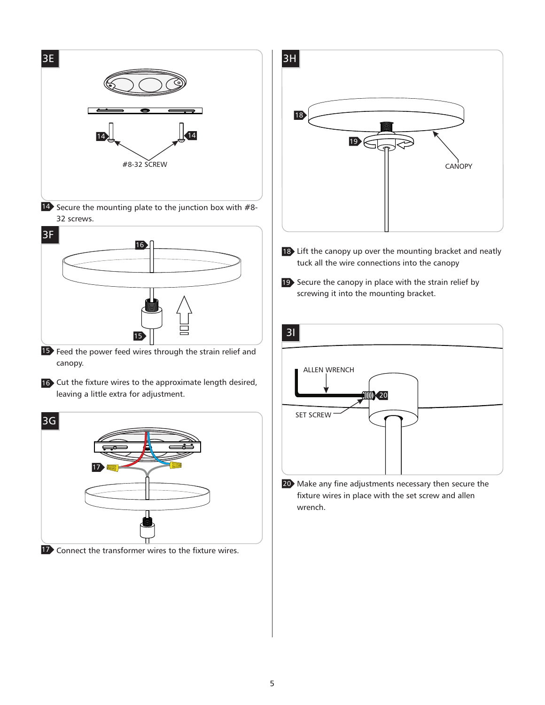



- 18 Lift the canopy up over the mounting bracket and neatly tuck all the wire connections into the canopy
- 19 Secure the canopy in place with the strain relief by screwing it into the mounting bracket.



20 Make any fine adjustments necessary then secure the fixture wires in place with the set screw and allen wrench.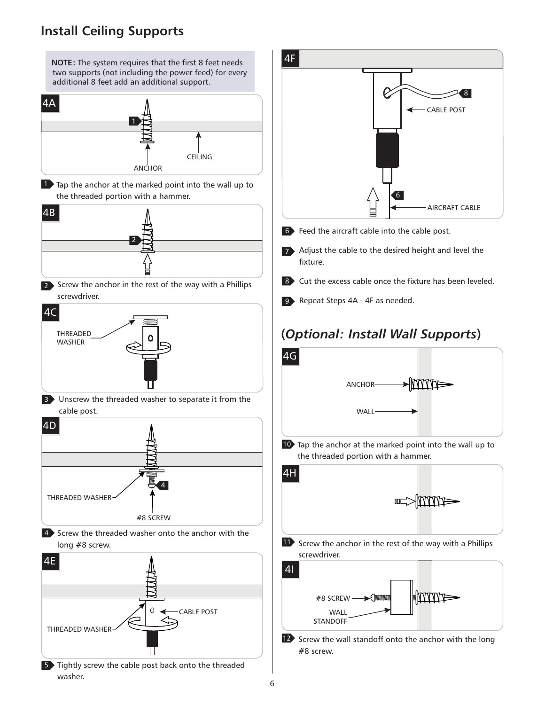#### **Install Ceiling Supports**

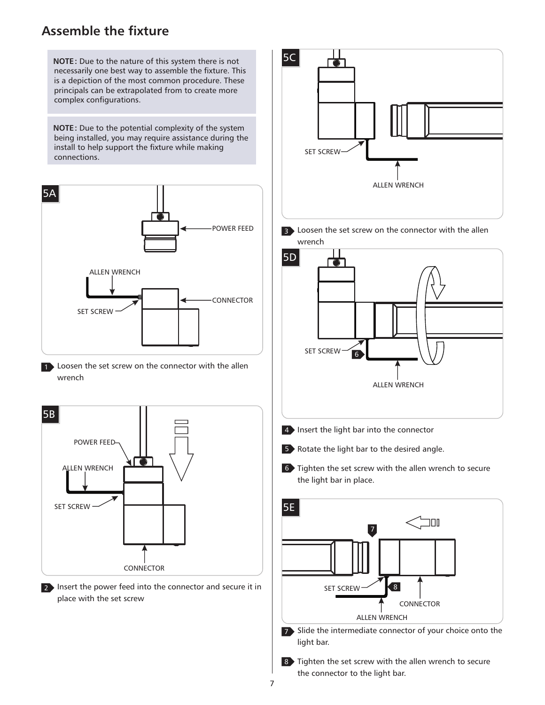#### **Assemble the fixture**



8 Tighten the set screw with the allen wrench to secure the connector to the light bar.